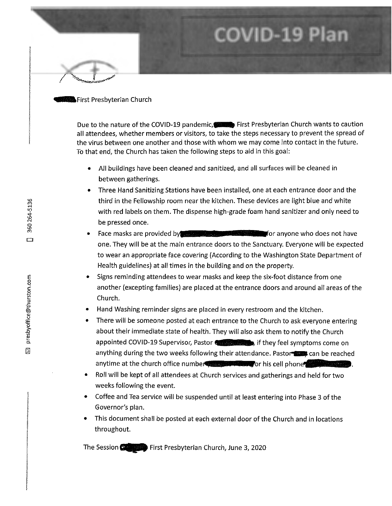### **B**First Presbyterian Church

Due to the nature of the COVID-19 pandemic, First Presbyterian Church wants to caution all attendees, whether members or visitors, to take the steps necessary to prevent the spread of the virus between one another and those with whom we may come into contact in the future. To that end, the Church has taken the following steps to aid in this goal:

**COVID-19 Pla** 

- All buildings have been cleaned and sanitized, and all surfaces will be cleaned in between gatherings.
- Three Hand Sanitizing Stations have been installed, one at each entrance door and the third in the Fellowship room near the kitchen. These devices are light blue and white with red labels on them. The dispense high-grade foam hand sanitizer and only need to be pressed once.
- Face masks are provided by **Face masks** are provided by one. They will be at the main entrance doors to the Sanctuary. Everyone will be expected to wear an appropriate face covering (According to the Washington State Department of Health guidelines) at all times in the building and on the property.
- Signs reminding attendees to wear masks and keep the six-foot distance from one another (excepting families) are placed at the entrance doors and around all areas of the Church.
- Hand Washing reminder signs are placed in every restroom and the kitchen.
- There will be someone posted at each entrance to the Church to ask everyone entering about their immediate state of health. They will also ask them to notify the Church appointed COVID-19 Supervisor, Pastor **Come on** if they feel symptoms come on anything during the two weeks following their attendance. Pastor anytime at the church office number of the state of his cell phone of the state of
- Roll will be kept of all attendees at Church services and gatherings and held for two weeks following the event.
- Coffee and Tea service will be suspended until at least entering into Phase 3 of the Governor's plan.
- This document shall be posted at each external door of the Church and in locations throughout.

The Session  $\bullet$  First Presbyterian Church, June 3, 2020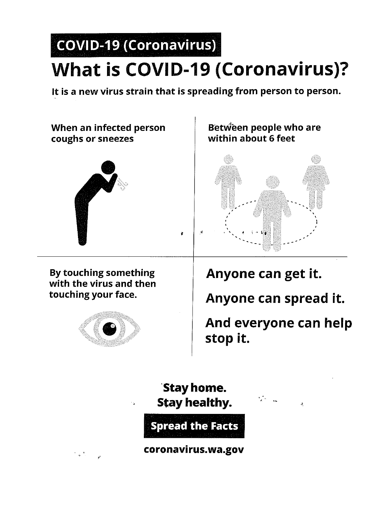# COVID-19 (Coronavirus) What is COVID-19 (Coronavirus)?

It is a new virus strain that is spreading from person to person.

•

When an infected person coughs or sneezes



Between people who are within about 6 feet



By touching something with the virus and then touching your face.



Anyone can get it.

Anyone can spread it.

And everyone can help stop it.

·stay home. Stay healthy.



coronavirus.wa.gov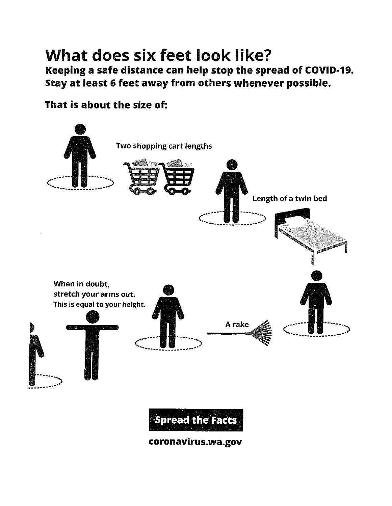#### What does six feet look like? Keeping a safe distance can help stop the spread of COVID-19. Stay at least 6 feet away from others whenever possible.

That is about the size of:



coronavirus.wa.gov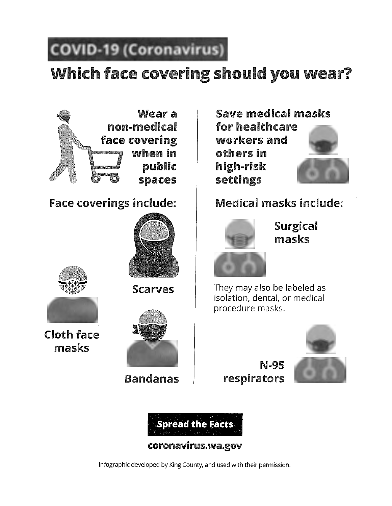## **COVID-19 (Coronavirus)**

## Which face covering should you wear?







Cloth face masks



Scarves

Bandanas

Save medical masks for healthcare workers and others in high-risk settings



Face coverings include: | Medical masks include:



Surgical masks

They may also be labeled as isolation, dental, or medical procedure masks.



N-95 respirators



coronavirus.wa.gov

lnfographic developed by King County, and used with their permission.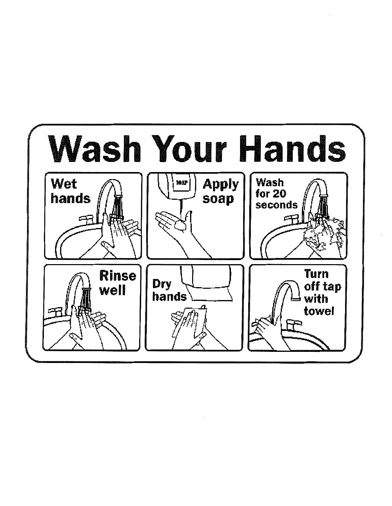